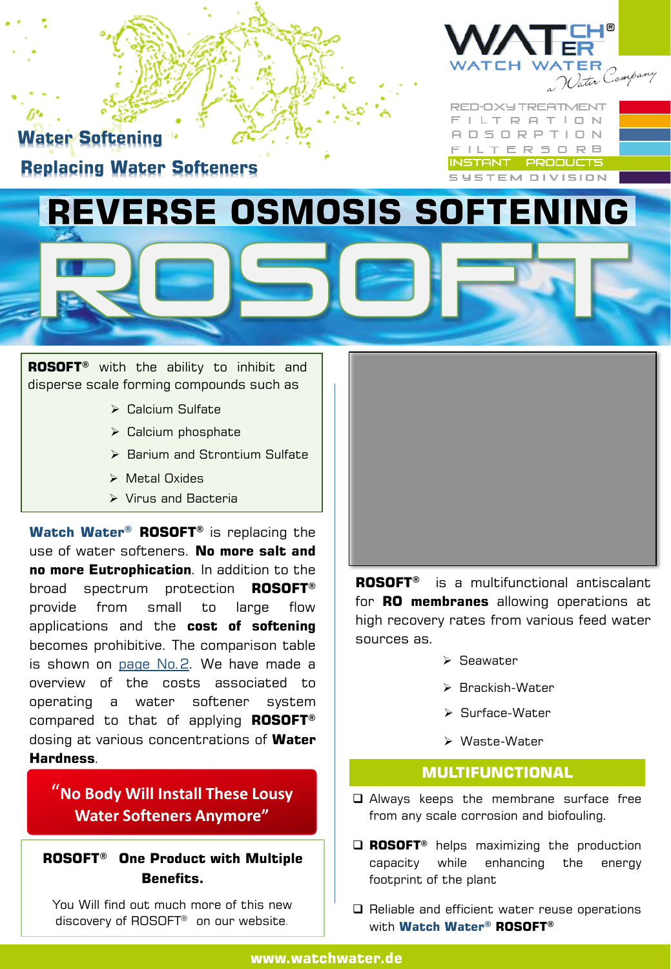

**Water Softening Replacing Water Softeners**

**XY TREATMENT** LT RATION **DSORPTION** TERSORB INSTANT PRODUCTS **YSTEM DIVISION** 

## **REVERSE OSMOSIS SOFTENING**

**ROSOFT®** with the ability to inhibit and disperse scale forming compounds such as

- ➢ Calcium Sulfate
- ➢ Calcium phosphate
- ➢ Barium and Strontium Sulfate
- ➢ Metal Oxides
- ➢ Virus and Bacteria

**Watch Water® ROSOFT®** is replacing the use of water softeners. **No more salt and no more Eutrophication**. In addition to the broad spectrum protection **ROSOFT®** provide from small to large flow applications and the **cost of softening** becomes prohibitive. The comparison table is shown on page No.2. We have made a overview of the costs associated to operating a water softener system compared to that of applying **ROSOFT®** dosing at various concentrations of **Water Hardness**.

"**No Body Will Install These Lousy Water Softeners Anymore"** 

**ROSOFT® One Product with Multiple Benefits.**

You Will find out much more of this new discovery of ROSOFT® on our website.



**ROSOFT®** is a multifunctional antiscalant for **RO membranes** allowing operations at high recovery rates from various feed water sources as.

- ➢ Seawater
- ➢ Brackish-Water
- ➢ Surface-Water
- ➢ Waste-Water

## **MULTIFUNCTIONAL**

- Always keeps the membrane surface free from any scale corrosion and biofouling.
- **ROSOFT®** helps maximizing the production capacity while enhancing the energy footprint of the plant
- $\Box$  Reliable and efficient water reuse operations with **Watch Water® ROSOFT®**